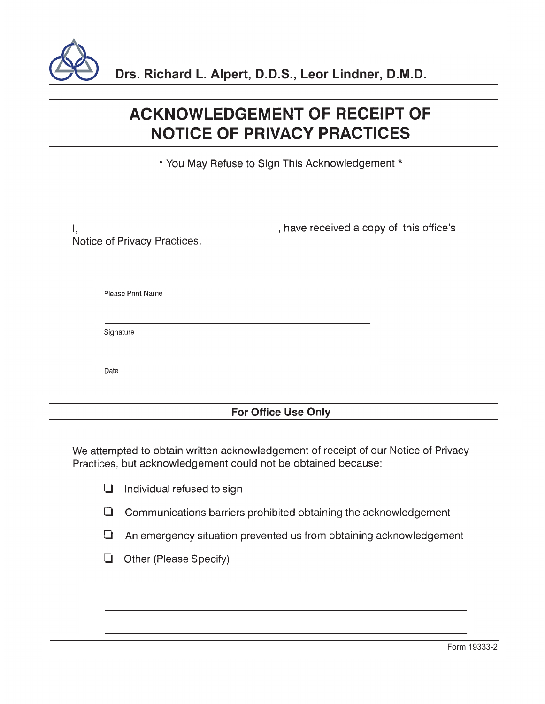

## **ACKNOWLEDGEMENT OF RECEIPT OF NOTICE OF PRIVACY PRACTICES**

\* You May Refuse to Sign This Acknowledgement \*

| Notice of Privacy Practices. | , have received a copy of this office's |
|------------------------------|-----------------------------------------|
|                              |                                         |
| Please Print Name            |                                         |
| Signature                    |                                         |
| Date                         |                                         |
|                              | <b>For Office Use Only</b>              |

We attempted to obtain written acknowledgement of receipt of our Notice of Privacy Practices, but acknowledgement could not be obtained because:

| $\Box$ | Individual refused to sign |  |
|--------|----------------------------|--|
|        |                            |  |

- Communications barriers prohibited obtaining the acknowledgement  $\Box$
- $\Box$ An emergency situation prevented us from obtaining acknowledgement
- Other (Please Specify)  $\Box$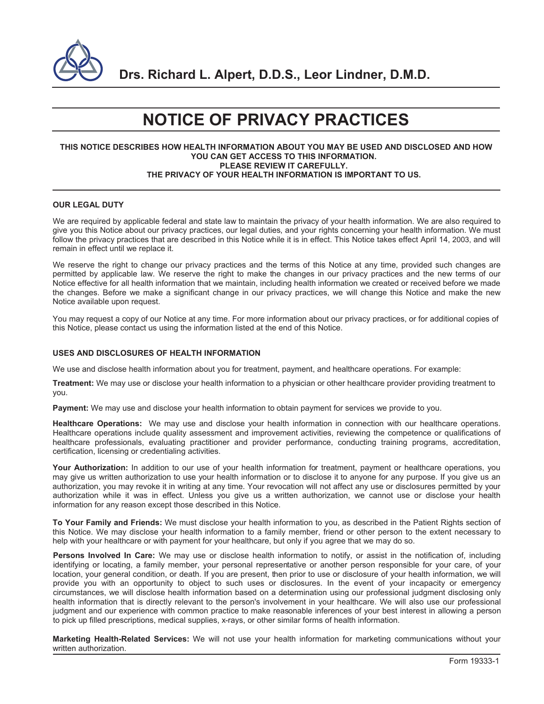

# **NOTICE OF PRIVACY PRACTICES**

#### **THlS NOTICE DESCRIBES HOW HEALTH INFORMATION ABOUT YOU MAY BE USED AND DISCLOSED AND HOW YOU CAN GET ACCESS TO THlS INFORMATION. PLEASE REVIEW IT CAREFULLY. THE PRIVACY OF YOUR HEALTH INFORMATION IS IMPORTANT TO US.**

### **OUR LEGAL DUTY**

We are required by applicable federal and state law to maintain the privacy of your health information. We are also required to give you this Notice about our privacy practices, our legal duties, and your rights concerning your health information. We must follow the privacy practices that are described in this Notice while it is in effect. This Notice takes effect April 14, 2003, and will remain in effect until we replace it.

We reserve the right to change our privacy practices and the terms of this Notice at any time, provided such changes are permitted by applicable law. We reserve the right to make the changes in our privacy practices and the new terms of our Notice effective for all health information that we maintain, including health information we created or received before we made the changes. Before we make a significant change in our privacy practices, we will change this Notice and make the new Notice available upon request.

You may request a copy of our Notice at any time. For more information about our privacy practices, or for additional copies of this Notice, please contact us using the information listed at the end of this Notice.

### **USES AND DISCLOSURES OF HEALTH INFORMATION**

We use and disclose health information about you for treatment, payment, and healthcare operations. For example:

**Treatment:** We may use or disclose your health information to a physician or other healthcare provider providing treatment to you.

**Payment:** We may use and disclose your health information to obtain payment for services we provide to you.

**Healthcare Operations:** We may use and disclose your health information in connection with our healthcare operations. Healthcare operations include quality assessment and improvement activities, reviewing the competence or qualifications of healthcare professionals, evaluating practitioner and provider performance, conducting training programs, accreditation, certification, licensing or credentialing activities.

**Your Authorization:** In addition to our use of your health information for treatment, payment or healthcare operations, you may give us written authorization to use your health information or to disclose it to anyone for any purpose. If you give us an authorization, you may revoke it in writing at any time. Your revocation will not affect any use or disclosures permitted by your authorization while it was in effect. Unless you give us a written authorization, we cannot use or disclose your health information for any reason except those described in this Notice.

**To Your Family and Friends:** We must disclose your health information to you, as described in the Patient Rights section of this Notice. We may disclose your health information to a family member, friend or other person to the extent necessary to help with your healthcare or with payment for your healthcare, but only if you agree that we may do so.

**Persons Involved In Care:** We may use or disclose health information to notify, or assist in the notification of, including identifying or locating, a family member, your personal representative or another person responsible for your care, of your location, your general condition, or death. If you are present, then prior to use or disclosure of your health information, we will provide you with an opportunity to object to such uses or disclosures. In the event of your incapacity or emergency circumstances, we will disclose health information based on a determination using our professional judgment disclosing only health information that is directly relevant to the person's involvement in your healthcare. We will also use our professional judgment and our experience with common practice to make reasonable inferences of your best interest in allowing a person to pick up filled prescriptions, medical supplies, x-rays, or other similar forms of health information.

**Marketing Health-Related Services:** We will not use your health information for marketing communications without your written authorization.